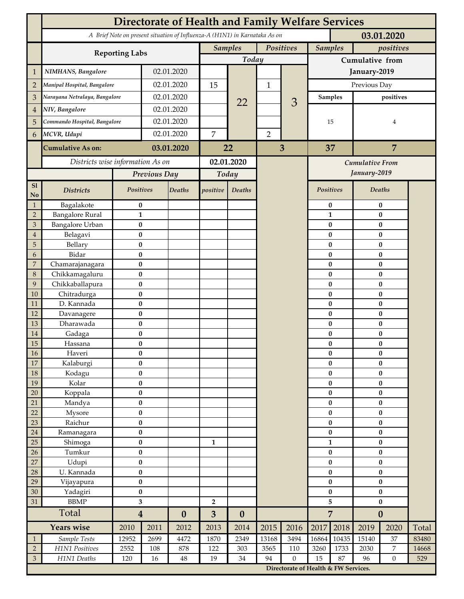|                                 | <b>Directorate of Health and Family Welfare Services</b>                                 |                        |                  |                          |                         |                             |                |                                      |                        |                             |                        |                       |       |  |
|---------------------------------|------------------------------------------------------------------------------------------|------------------------|------------------|--------------------------|-------------------------|-----------------------------|----------------|--------------------------------------|------------------------|-----------------------------|------------------------|-----------------------|-------|--|
|                                 | A Brief Note on present situation of Influenza-A (H1N1) in Karnataka As on<br>03.01.2020 |                        |                  |                          |                         |                             |                |                                      |                        |                             |                        |                       |       |  |
|                                 |                                                                                          |                        |                  |                          |                         | <b>Samples</b><br>Positives |                |                                      |                        | <b>Samples</b><br>positives |                        |                       |       |  |
|                                 | <b>Reporting Labs</b>                                                                    |                        |                  |                          |                         | Today                       |                |                                      | Cumulative from        |                             |                        |                       |       |  |
| 1                               | NIMHANS, Bangalore                                                                       | 02.01.2020             |                  |                          |                         |                             |                | January-2019                         |                        |                             |                        |                       |       |  |
| $\overline{2}$                  | Manipal Hospital, Bangalore                                                              |                        |                  | 02.01.2020               |                         |                             | $\mathbf{1}$   |                                      | Previous Day           |                             |                        |                       |       |  |
| 3                               | Narayana Netralaya, Bangalore                                                            |                        |                  | 02.01.2020               |                         |                             |                | 3                                    |                        | <b>Samples</b>              | positives              |                       |       |  |
| $\overline{4}$                  | NIV, Bangalore                                                                           |                        | 02.01.2020       |                          |                         | 22                          |                |                                      |                        |                             |                        |                       |       |  |
| 5                               | Commando Hospital, Bangalore                                                             |                        | 02.01.2020       |                          |                         |                             |                |                                      | 15<br>37               |                             | 4<br>$\overline{7}$    |                       |       |  |
| 6                               | MCVR, Udupi                                                                              |                        | 02.01.2020       |                          | $\overline{7}$          |                             | $\overline{2}$ |                                      |                        |                             |                        |                       |       |  |
|                                 | <b>Cumulative As on:</b>                                                                 |                        | 03.01.2020       |                          |                         |                             |                |                                      |                        |                             |                        |                       |       |  |
|                                 |                                                                                          |                        |                  |                          | 22                      |                             | 3              |                                      |                        |                             |                        |                       |       |  |
|                                 | Districts wise information As on                                                         |                        |                  | 02.01.2020               |                         |                             |                | Cumulative From                      |                        |                             |                        |                       |       |  |
|                                 |                                                                                          |                        | Previous Day     |                          | Today                   |                             |                |                                      |                        |                             | January-2019           |                       |       |  |
| S1<br>No                        | <b>Districts</b>                                                                         | Positives              |                  | Deaths                   | positive                | Deaths                      |                |                                      | Positives              |                             |                        | Deaths                |       |  |
| $\mathbf{1}$                    | Bagalakote                                                                               | $\bf{0}$               |                  |                          |                         |                             |                |                                      | $\pmb{0}$              |                             | $\pmb{0}$              |                       |       |  |
| $\overline{2}$                  | <b>Bangalore Rural</b>                                                                   | $\mathbf{1}$           |                  |                          |                         |                             |                |                                      |                        | $\mathbf{1}$                |                        | $\pmb{0}$             |       |  |
| 3                               | <b>Bangalore Urban</b>                                                                   | $\bf{0}$               |                  |                          |                         |                             |                |                                      |                        | 0                           |                        | $\bf{0}$              |       |  |
| $\boldsymbol{4}$<br>$\mathbf 5$ | Belagavi<br>Bellary                                                                      | $\pmb{0}$<br>$\bf{0}$  |                  |                          |                         |                             |                |                                      |                        | $\bf{0}$<br>$\bf{0}$        |                        | $\bf{0}$<br>$\bf{0}$  |       |  |
| 6                               | Bidar                                                                                    | $\bf{0}$               |                  |                          |                         |                             |                |                                      |                        | $\bf{0}$                    |                        | $\bf{0}$              |       |  |
| $\overline{7}$                  | Chamarajanagara                                                                          | $\pmb{0}$              |                  |                          |                         |                             |                |                                      |                        | $\bf{0}$                    |                        | $\bf{0}$              |       |  |
| 8                               | Chikkamagaluru                                                                           | $\bf{0}$               |                  |                          |                         |                             |                |                                      |                        | 0                           |                        | $\bf{0}$              |       |  |
| 9                               | Chikkaballapura                                                                          | $\bf{0}$               |                  |                          |                         |                             |                |                                      |                        | 0                           |                        | $\bf{0}$              |       |  |
| 10                              | Chitradurga                                                                              | $\bf{0}$               |                  |                          |                         |                             |                |                                      |                        | 0                           |                        | $\bf{0}$              |       |  |
| 11<br>12                        | D. Kannada<br>Davanagere                                                                 | $\bf{0}$<br>$\pmb{0}$  |                  |                          |                         |                             |                |                                      |                        | 0<br>$\bf{0}$               |                        | $\bf{0}$<br>$\pmb{0}$ |       |  |
| 13                              | Dharawada                                                                                | $\pmb{0}$              |                  |                          |                         |                             |                |                                      |                        | $\bf{0}$                    |                        | $\bf{0}$              |       |  |
| 14                              | Gadaga                                                                                   | $\bf{0}$               |                  |                          |                         |                             |                |                                      |                        | 0                           | $\bf{0}$               |                       |       |  |
| 15                              | Hassana                                                                                  | $\bf{0}$               |                  |                          |                         |                             |                |                                      |                        | 0                           |                        | $\pmb{0}$             |       |  |
| $16\,$                          | Haveri                                                                                   | $\pmb{0}$              |                  |                          |                         |                             |                |                                      |                        | $\pmb{0}$                   | $\pmb{0}$              |                       |       |  |
| $17\,$                          | Kalaburgi                                                                                | $\bf{0}$               |                  |                          |                         |                             |                |                                      |                        | $\bf{0}$                    |                        | $\bf{0}$              |       |  |
| 18                              | Kodagu                                                                                   | $\pmb{0}$              |                  |                          |                         |                             |                |                                      |                        | $\pmb{0}$                   | $\pmb{0}$              |                       |       |  |
| 19                              | Kolar                                                                                    | $\pmb{0}$              |                  |                          |                         |                             |                |                                      |                        | $\pmb{0}$                   | $\pmb{0}$              |                       |       |  |
| 20<br>21                        | Koppala<br>Mandya                                                                        | $\pmb{0}$<br>$\bf{0}$  |                  |                          |                         |                             |                |                                      |                        | $\pmb{0}$<br>$\bf{0}$       | $\pmb{0}$<br>$\pmb{0}$ |                       |       |  |
| 22                              | Mysore                                                                                   | $\pmb{0}$              |                  |                          |                         |                             |                |                                      | $\bf{0}$               |                             | $\pmb{0}$              |                       |       |  |
| 23                              | Raichur                                                                                  | $\pmb{0}$              |                  |                          |                         |                             |                |                                      |                        | $\pmb{0}$                   |                        | $\pmb{0}$             |       |  |
| $24\,$                          | Ramanagara                                                                               | $\pmb{0}$              |                  |                          |                         |                             |                |                                      |                        | $\pmb{0}$                   | $\pmb{0}$              |                       |       |  |
| 25                              | Shimoga                                                                                  | $\bf{0}$               |                  |                          | $\mathbf{1}$            |                             |                |                                      |                        | $\mathbf{1}$                | $\bf{0}$               |                       |       |  |
| 26                              | Tumkur                                                                                   | $\bf{0}$               |                  |                          |                         |                             |                |                                      | $\bf{0}$               |                             | $\pmb{0}$              |                       |       |  |
| 27                              | Udupi                                                                                    | $\pmb{0}$              |                  |                          |                         |                             |                |                                      | $\bf{0}$               |                             | $\pmb{0}$              |                       |       |  |
| 28                              | U. Kannada                                                                               | $\bf{0}$               |                  |                          |                         |                             |                |                                      |                        | $\pmb{0}$                   | $\bf{0}$               |                       |       |  |
| 29                              | Vijayapura                                                                               | $\pmb{0}$<br>$\pmb{0}$ |                  |                          |                         |                             |                |                                      | $\pmb{0}$<br>$\pmb{0}$ |                             | $\pmb{0}$<br>$\pmb{0}$ |                       |       |  |
| 30<br>31                        | Yadagiri<br><b>BBMP</b>                                                                  | 3                      |                  |                          | $\overline{\mathbf{2}}$ |                             |                |                                      | 5                      |                             | $\pmb{0}$              |                       |       |  |
|                                 | Total                                                                                    |                        | $\boldsymbol{4}$ |                          | 3                       | $\boldsymbol{0}$            |                |                                      | $\overline{7}$         |                             | $\boldsymbol{0}$       |                       |       |  |
|                                 | <b>Years wise</b>                                                                        | 2010                   | 2011             | $\boldsymbol{0}$<br>2012 | 2013                    | 2014                        | 2015           | 2016                                 | 2017                   | 2018                        | 2019                   | 2020                  | Total |  |
| $\mathbf{1}$                    | Sample Tests                                                                             | 12952                  | 2699             | 4472                     | 1870                    | 2349                        | 13168          | 3494                                 | 16864                  | 10435                       | 15140                  | 37                    | 83480 |  |
| $\sqrt{2}$                      | H1N1 Positives                                                                           | 2552                   | 108              | 878                      | 122                     | 303                         | 3565           | 110                                  | 3260                   | 1733                        | 2030                   | $\overline{7}$        | 14668 |  |
| $\ensuremath{\mathfrak{Z}}$     | H1N1 Deaths                                                                              | 120                    | 16               | 48                       | 19                      | $34\,$                      | 94             | $\boldsymbol{0}$                     | 15                     | 87                          | 96                     | $\overline{0}$        | 529   |  |
|                                 |                                                                                          |                        |                  |                          |                         |                             |                | Directorate of Health & FW Services. |                        |                             |                        |                       |       |  |